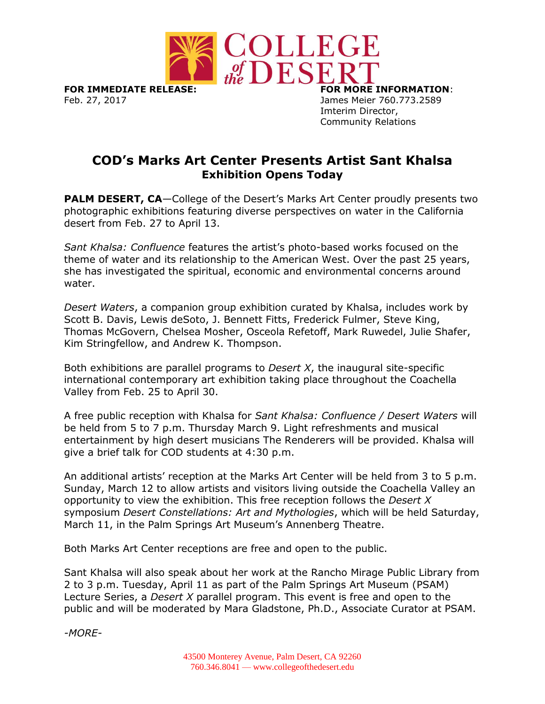

**FOR IMMEDIATE RELEASE: FOR MORE INFORMATION**: Feb. 27, 2017 James Meier 760.773.2589

Imterim Director, Community Relations

## **COD's Marks Art Center Presents Artist Sant Khalsa Exhibition Opens Today**

**PALM DESERT, CA**—College of the Desert's Marks Art Center proudly presents two photographic exhibitions featuring diverse perspectives on water in the California desert from Feb. 27 to April 13.

*Sant Khalsa: Confluence* features the artist's photo-based works focused on the theme of water and its relationship to the American West. Over the past 25 years, she has investigated the spiritual, economic and environmental concerns around water.

*Desert Waters*, a companion group exhibition curated by Khalsa, includes work by Scott B. Davis, Lewis deSoto, J. Bennett Fitts, Frederick Fulmer, Steve King, Thomas McGovern, Chelsea Mosher, Osceola Refetoff, Mark Ruwedel, Julie Shafer, Kim Stringfellow, and Andrew K. Thompson.

Both exhibitions are parallel programs to *Desert X*, the inaugural site-specific international contemporary art exhibition taking place throughout the Coachella Valley from Feb. 25 to April 30.

A free public reception with Khalsa for *Sant Khalsa: Confluence / Desert Waters* will be held from 5 to 7 p.m. Thursday March 9. Light refreshments and musical entertainment by high desert musicians The Renderers will be provided. Khalsa will give a brief talk for COD students at 4:30 p.m.

An additional artists' reception at the Marks Art Center will be held from 3 to 5 p.m. Sunday, March 12 to allow artists and visitors living outside the Coachella Valley an opportunity to view the exhibition. This free reception follows the *Desert X* symposium *Desert Constellations: Art and Mythologies*, which will be held Saturday, March 11, in the Palm Springs Art Museum's Annenberg Theatre.

Both Marks Art Center receptions are free and open to the public.

Sant Khalsa will also speak about her work at the Rancho Mirage Public Library from 2 to 3 p.m. Tuesday, April 11 as part of the Palm Springs Art Museum (PSAM) Lecture Series, a *Desert X* parallel program. This event is free and open to the public and will be moderated by Mara Gladstone, Ph.D., Associate Curator at PSAM.

*-MORE-*